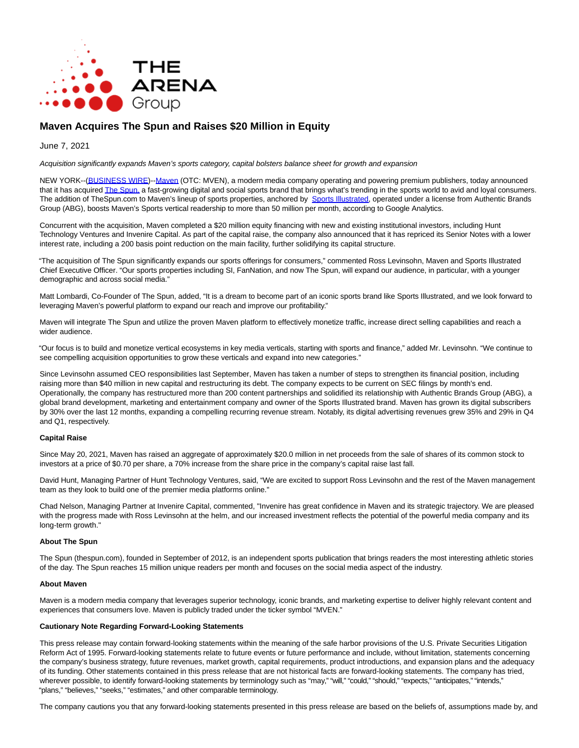

# **Maven Acquires The Spun and Raises \$20 Million in Equity**

June 7, 2021

Acquisition significantly expands Maven's sports category, capital bolsters balance sheet for growth and expansion

NEW YORK--[\(BUSINESS WIRE\)-](https://www.businesswire.com/)[-Maven \(](https://cts.businesswire.com/ct/CT?id=smartlink&url=http%3A%2F%2Fwww.maven.io&esheet=52441535&newsitemid=20210607005725&lan=en-US&anchor=Maven&index=1&md5=27f38b1a305b8d9b793d79ed30cef517)OTC: MVEN), a modern media company operating and powering premium publishers, today announced that it has acquired [The Spun, a](https://cts.businesswire.com/ct/CT?id=smartlink&url=http%3A%2F%2Fwww.thespun.com&esheet=52441535&newsitemid=20210607005725&lan=en-US&anchor=The+Spun%2C&index=2&md5=1e762766e9ebe44278a156001811f7aa) fast-growing digital and social sports brand that brings what's trending in the sports world to avid and loyal consumers. The addition of TheSpun.com to Maven's lineup of sports properties, anchored by [Sports Illustrated,](https://cts.businesswire.com/ct/CT?id=smartlink&url=http%3A%2F%2Fwww.si.com&esheet=52441535&newsitemid=20210607005725&lan=en-US&anchor=Sports+Illustrated&index=3&md5=d48f88d71ad3097c96b1a88e4904847e) operated under a license from Authentic Brands Group (ABG), boosts Maven's Sports vertical readership to more than 50 million per month, according to Google Analytics.

Concurrent with the acquisition, Maven completed a \$20 million equity financing with new and existing institutional investors, including Hunt Technology Ventures and Invenire Capital. As part of the capital raise, the company also announced that it has repriced its Senior Notes with a lower interest rate, including a 200 basis point reduction on the main facility, further solidifying its capital structure.

"The acquisition of The Spun significantly expands our sports offerings for consumers," commented Ross Levinsohn, Maven and Sports Illustrated Chief Executive Officer. "Our sports properties including SI, FanNation, and now The Spun, will expand our audience, in particular, with a younger demographic and across social media."

Matt Lombardi, Co-Founder of The Spun, added, "It is a dream to become part of an iconic sports brand like Sports Illustrated, and we look forward to leveraging Maven's powerful platform to expand our reach and improve our profitability."

Maven will integrate The Spun and utilize the proven Maven platform to effectively monetize traffic, increase direct selling capabilities and reach a wider audience.

"Our focus is to build and monetize vertical ecosystems in key media verticals, starting with sports and finance," added Mr. Levinsohn. "We continue to see compelling acquisition opportunities to grow these verticals and expand into new categories."

Since Levinsohn assumed CEO responsibilities last September, Maven has taken a number of steps to strengthen its financial position, including raising more than \$40 million in new capital and restructuring its debt. The company expects to be current on SEC filings by month's end. Operationally, the company has restructured more than 200 content partnerships and solidified its relationship with Authentic Brands Group (ABG), a global brand development, marketing and entertainment company and owner of the Sports Illustrated brand. Maven has grown its digital subscribers by 30% over the last 12 months, expanding a compelling recurring revenue stream. Notably, its digital advertising revenues grew 35% and 29% in Q4 and Q1, respectively.

# **Capital Raise**

Since May 20, 2021, Mayen has raised an aggregate of approximately \$20.0 million in net proceeds from the sale of shares of its common stock to investors at a price of \$0.70 per share, a 70% increase from the share price in the company's capital raise last fall.

David Hunt, Managing Partner of Hunt Technology Ventures, said, "We are excited to support Ross Levinsohn and the rest of the Maven management team as they look to build one of the premier media platforms online."

Chad Nelson, Managing Partner at Invenire Capital, commented, "Invenire has great confidence in Maven and its strategic trajectory. We are pleased with the progress made with Ross Levinsohn at the helm, and our increased investment reflects the potential of the powerful media company and its long-term growth."

#### **About The Spun**

The Spun (thespun.com), founded in September of 2012, is an independent sports publication that brings readers the most interesting athletic stories of the day. The Spun reaches 15 million unique readers per month and focuses on the social media aspect of the industry.

#### **About Maven**

Maven is a modern media company that leverages superior technology, iconic brands, and marketing expertise to deliver highly relevant content and experiences that consumers love. Maven is publicly traded under the ticker symbol "MVEN."

# **Cautionary Note Regarding Forward-Looking Statements**

This press release may contain forward-looking statements within the meaning of the safe harbor provisions of the U.S. Private Securities Litigation Reform Act of 1995. Forward-looking statements relate to future events or future performance and include, without limitation, statements concerning the company's business strategy, future revenues, market growth, capital requirements, product introductions, and expansion plans and the adequacy of its funding. Other statements contained in this press release that are not historical facts are forward-looking statements. The company has tried, wherever possible, to identify forward-looking statements by terminology such as "may," "will," "could," "should," "expects," "anticipates," "intends," "plans," "believes," "seeks," "estimates," and other comparable terminology.

The company cautions you that any forward-looking statements presented in this press release are based on the beliefs of, assumptions made by, and